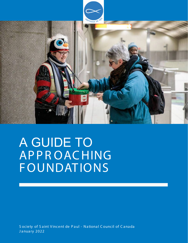

# A GUIDE TO APPROACHING **FOUNDATIONS**

Society of Saint Vincent de Paul - National Council of Canada January 2022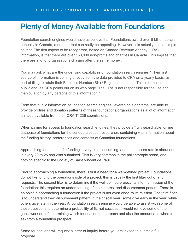### Plenty of Money Available from Foundations

Foundation search engines would have us believe that Foundations award over 5 billion dollars annually in Canada, a number that can really be appealing. However, it is actually not as simple as that. The first aspect to be recognized, based on Canada Revenue Agency (CRA) information, is that there are over 160,000 non-profits and charities in Canada. This implies that there are a lot of organizations chasing after the same money.

You may ask what are the underlying capabilities of foundation search engines? Their first source of information is coming directly from the data provided to CRA on a yearly basis, as part of filing to retain their Business Number (BN) / Registration status. This information is public and, as CRA points out on its web page "The CRA is not responsible for the use and manipulation by any persons of this information."

From that public information, foundation search engines, leveraging algorithms, are able to provide profiles and donation patterns of these foundations/organizations as a lot of information is made available from their CRA T1236 submissions.

When paying for access to foundation search engines, they provide a "fully searchable, online database of foundations for the serious prospect researcher, containing vital information about the funding history, preferences and contacts of Canadian foundations.

Approaching foundations for funding is very time consuming, and the success rate is about one in every 20 to 25 requests submitted. This is very common in the philanthropic arena, and nothing specific to the Society of Saint Vincent de Paul.

Prior to approaching a foundation, there is first a need for a well-defined project. Foundations do not like to fund the operations side of a project; this is usually the first filter out of any requests. The second filter is to determine if the well-defined project fits into the mission of the foundation; this requires an understanding of their interest and disbursement pattern. There is no point in approaching a foundation if the project is not even close to its mission. The third filter is to understand their disbursement pattern in their fiscal year; some give early in the year, while others give later in the year. A foundation search engine would be able to assist with some of these questions to determine a probability of fit, not success. It would remove some of the guesswork out of determining which foundation to approach and also the amount and when to ask from a foundation prospect.

Some foundations will request a letter of inquiry before you are invited to submit a full proposal.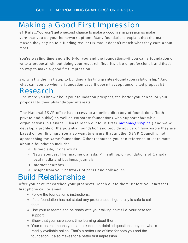## Making a Good First Impression

#1 R ule...You won't get a second chance to make a good first impression so make sure that you do your homework upfront. Many foundations explain that the main reason they say no to a funding request is that it doesn't match what they care about mos t.

You're wa s ting time a nd e ffort--for you a nd the founda tions--if you ca ll a founda tion or write a proposal without doing your research first. It's also unprofessional, and that's no way to make a good first impression.

So, what is the first step to building a lasting grantee-foundation relationship? And what can you do when a foundation says it doesn't accept unsolicited proposals?

#### R esearch

The more you know about your foundation prospect, the better you can tailor your propos al to their philanthropic interests.

The National SSVP office has access to an online directory of foundations (both private and public) as well as corporate foundations who support charitable organizations in Canada. Please reach out to us first (national@ ssvp.ca) and we will develop a profile of the potential foundation and provide advice on how viable they are based on our findings. You also want to ensure that another SSVP Council is not approaching the same foundation. Other resources you can reference to learn more about a foundation include:

- o Its web site, if one exists
- ⚬ News s ources , like Imagine C anada , P hila nthropic F ounda tions of C a na da, local media and business journals
- ⚬ Inte rne t s e a rche s
- ⚬ Ins ight from your ne tworks of pe e rs a nd colle a gues

# Build Relationships

After you have researched your prospects, reach out to them! Before you start that first phone call or email:

- ⚬ Follow the foundation's instructions.
- ⚬ If the foundation has not stated any preferences, it generally is safe to call them.
- ⚬ Use your research and be ready with your talking points i.e. your case for support.
- ⚬ Show that you have spent time learning about them.
- ⚬ Your research means you can ask deeper, detailed questions, beyond what's readily available online. That's a better use of time for both you and the foundation. It also makes for a better first impression.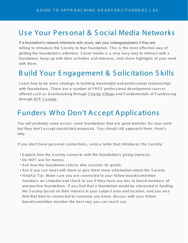#### Use Your Personal & Social Media Networks

If a foundation's network intersects with yours, ask your colleagues/peers if they are willing to introduce the Society to that foundation. This is the most effective way of getting the foundation's attention. Social media is a very easy way to interact with a foundation, keep up with their activities and interests, and share highlights of your work with them.

#### **Build Your Engagement & Solicitation Skills**

Learn how to be more strategic in building meaningful and professional relationships with foundations. There are a number of FREE professional development courses offered such as Grantseeking through Charity Village and Fundamentals of Fundraising through AFP Canada.

#### **Funders Who Don't Accept Applications**

You will probably come across some foundations that are good matches for your work but they don't accept unsolicited proposals. You should still approach them. Here's why.

If you don't have personal connections, send a letter that introduces the Society:

- . Explain how the Society connects with the foundation's giving interests.
- . Do NOT ask for money.
- . Ask how the foundation selects who receives its grants.
- . Ask if you can meet with them or give them more information about the Society.
- . Helpful Tip: Make sure you are connected to your fellow board/committee members on LinkedIn and check to see if they have any ties to board members of prospective foundations. If you find that a foundation would be interested in funding the Society based on their interest in your subject area and location, and you also find that they're connected to someone you know, discuss with your fellow board/committee member the best way you can reach out.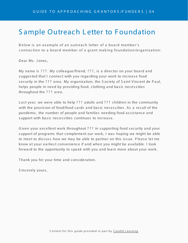#### **Sample Outreach Letter to Foundation**

Below is an example of an outreach letter of a board member's connection to a board member of a grant making foundation/organization:

Dear Ms. Jones,

My name is ???. My colleague/friend, ???, is a director on your board and suggested that I connect with you regarding your work to increase food security in the ??? area. My organization, the Society of Saint Vincent de Paul, helps people in need by providing food, clothing and basic necessities throughout the ??? area.

Last year, we were able to help ??? adults and ??? children in the community with the provision of food/food cards and basic necessities. As a result of the pandemic, the number of people and families needing food assistance and support with basic necessities continues to increase.

Given your excellent work throughout ??? in supporting food security and your support of programs that complement our work, I was hoping we might be able to meet to discuss how we may be able to partner on this issue. Please let me know at your earliest convenience if and when you might be available. I look forward to the opportunity to speak with you and learn more about your work.

Thank you for your time and consideration.

Sincerely yours,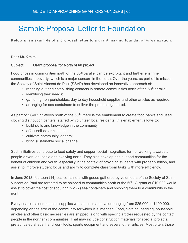### Sample Proposal Letter to Foundation

Below is an example of a proposal letter to a grant making foundation/organization.

Dear Mr. S mith:

#### Subject: Grant proposal for North of 60 project

Food prices in communities north of the 60<sup>th</sup> parallel can be exorbitant and further enshrine communities in poverty, which is a major concern in the north. Over the years, as part of its mission, the Society of Saint Vincent de Paul (SSVP) has developed an innovative approach of:

- reaching out and establishing contacts in remote communities north of the  $60<sup>th</sup>$  parallel;
- identifying their needs;
- gathering non-perishables, day-to-day household supplies and other articles as required;
- arranging for sea containers to deliver the products gathered.

As part of SSVP initiatives north of the  $60<sup>th</sup>$ , there is the enablement to create food banks and used clothing distribution centers, staffed by volunteer local residents; this enablement allows to:

- build skills and knowledge in the community;
- effect self-determination;
- cultivate community leaders;
- bring sustainable social change.

Such initiatives contribute to food safety and support social integration, further working towards a people-driven, equitable and evolving north. They also develop and support communities for the benefit of children and youth, especially in the context of providing students with proper nutrition, and assist to improve student focus and ability to complete classroom tasks with more efficiency.

In June 2018, fourteen (14) sea containers with goods gathered by volunteers of the Society of Saint Vincent de Paul are targeted to be shipped to communities north of the  $60<sup>th</sup>$ . A grant of \$10,000 would assist to cover the cost of acquiring two (2) sea containers and shipping them to a community in the north.

Every sea container contains supplies with an estimated value ranging from \$25,000 to \$100,000, depending on the size of the community for which it is intended. Food, clothing, bedding, household articles and other basic necessities are shipped, along with specific articles requested by the contact people in the northern communities. That may include construction materials for special projects, prefabricated sheds, handiwork tools, sports equipment and several other articles. Most often, those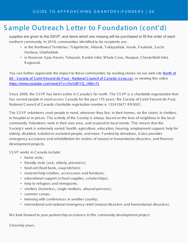#### Sample Outreach Letter to Foundation (cont'd)

supplies are given to the SSVP, and items which are missing will be purchased to fill the order of each northern community. In 2018, communities identified to be recipients are:

- in the Northwest Territories: Tsiigehtchic, Aklavik, Tuktoyaktuk, Inuvik, P aulatuk, S achs Harbour, Ulukhaktok;
- in Nunavut: G joa Haven, Taloyoak, R ankin Inlet, W hale C ove, Naujaat, C hesterfield Inlet, K ugaaruk.

[You can further appreciate the impact to these communities by reading stories on our web site North of](https://ssvp.ca/special-projects/north-of-60/) 60 - S ociety of S aint Vincent de P aul - National C ouncil of C anada (ssvp.ca), or viewing this video [https://www.youtube.com/watch? v=J hv5dR Y Q\\_r4&t=7s](https://www.youtube.com/watch?v=Jhv5dRYQ_r4&t=7s)

Since 2008, the SSVP has been active in Canada's far north. The SSVP is a charitable organization that has served people in need across C anada for the past 170 years; the S ociety of S aint Vincent de P aul, National C ouncil of C anada charitable registration number is 132410671 R R 0001.

The SSVP volunteers seek people in need, wherever they live, in their homes, on the street, in shelters, in hospital or in prison. T he activity of the S ociety is always based on the love of neighbour in the local community. Volunteers work in their own area, and respond to local needs. T his means that the S ociety's work is extremely varied: health, agriculture, education, housing, employment support, help for elderly, disabled, isolated or excluded people, and more. F unded by donations, it also provides emergency assistance and rehabilitation for victims of natural or humanitarian disasters, and finances development projects.

S S V P works in Canada include:

- home visits:
- friendly visits (sick, elderly, prisoners);
- food aid (food bank, soup kitchen);
- material help (clothes, accessories and furniture);
- educational support (school supplies, scholarships);
- help to refugees and immigrants;
- shelters (homeless, single mothers, abused persons);
- summer camps;
- twinning with conferences in another country;
- international and national emergency relief (natural disasters and humanitarian disasters).

We look forward to your partnership assistance in this community development project.

S incerely yours,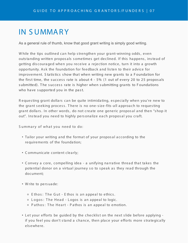#### **IN SUMMARY**

As a general rule of thumb, know that good grant writing is simply good writing.

While the tips outlined can help strengthen your grant-winning odds, even outstanding written proposals sometimes get declined. If this happens, instead of getting discouraged when you receive a rejection notice, turn it into a growth opportunity. Ask the foundation for feedback and listen to their advice for improvement. Statistics show that when writing new grants to a Foundation for the first time, the success rate is about  $4 - 5\%$  (1 out of every 20 to 25 proposals submitted). The success rate is higher when submitting grants to Foundations who have supported you in the past.

Requesting grant dollars can be quite intimidating, especially when you're new to the grant seeking process. There is no one-size-fits-all approach to requesting grant dollars. In other words, do not create one generic proposal and then "shop it out". Instead you need to highly personalize each proposal you craft.

Summary of what you need to do:

- Tailor your writing and the format of your proposal according to the requirements of the foundation;
- Communicate content clearly;
- Convey a core, compelling idea a unifying narrative thread that takes the potential donor on a virtual journey so to speak as they read through the document:
- . Write to persuade:
	- o Ethos: The Gut Ethos is an appeal to ethics.
	- o Logos: The Head Logos is an appeal to logic.
	- Pathos: The Heart Pathos is an appeal to emotion.
- Let your efforts be quided by the checklist on the next slide before applying if you feel you don't stand a chance, then place your efforts more strategically elsewhere